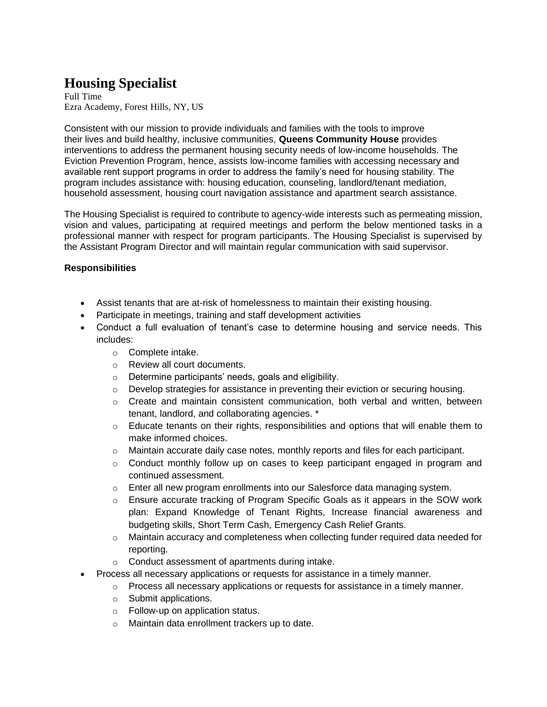## **Housing Specialist**

Full Time Ezra Academy, Forest Hills, NY, US

Consistent with our mission to provide individuals and families with the tools to improve their lives and build healthy, inclusive communities, **Queens Community House** provides interventions to address the permanent housing security needs of low-income households. The Eviction Prevention Program, hence, assists low-income families with accessing necessary and available rent support programs in order to address the family's need for housing stability. The program includes assistance with: housing education, counseling, landlord/tenant mediation, household assessment, housing court navigation assistance and apartment search assistance.

The Housing Specialist is required to contribute to agency-wide interests such as permeating mission, vision and values, participating at required meetings and perform the below mentioned tasks in a professional manner with respect for program participants. The Housing Specialist is supervised by the Assistant Program Director and will maintain regular communication with said supervisor.

## **Responsibilities**

- Assist tenants that are at-risk of homelessness to maintain their existing housing.
- Participate in meetings, training and staff development activities
- Conduct a full evaluation of tenant's case to determine housing and service needs. This includes:
	- o Complete intake.
	- o Review all court documents.
	- o Determine participants' needs, goals and eligibility.
	- $\circ$  Develop strategies for assistance in preventing their eviction or securing housing.
	- $\circ$  Create and maintain consistent communication, both verbal and written, between tenant, landlord, and collaborating agencies. \*
	- $\circ$  Educate tenants on their rights, responsibilities and options that will enable them to make informed choices.
	- $\circ$  Maintain accurate daily case notes, monthly reports and files for each participant.
	- $\circ$  Conduct monthly follow up on cases to keep participant engaged in program and continued assessment.
	- $\circ$  Enter all new program enrollments into our Salesforce data managing system.
	- $\circ$  Ensure accurate tracking of Program Specific Goals as it appears in the SOW work plan: Expand Knowledge of Tenant Rights, Increase financial awareness and budgeting skills, Short Term Cash, Emergency Cash Relief Grants.
	- $\circ$  Maintain accuracy and completeness when collecting funder required data needed for reporting.
	- o Conduct assessment of apartments during intake.
- Process all necessary applications or requests for assistance in a timely manner.
	- $\circ$  Process all necessary applications or requests for assistance in a timely manner.
	- o Submit applications.
	- o Follow-up on application status.
	- o Maintain data enrollment trackers up to date.